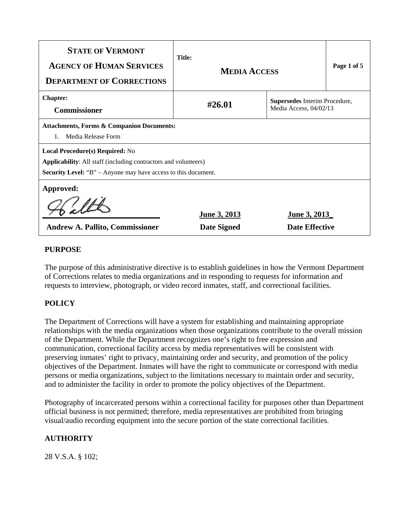| <b>STATE OF VERMONT</b><br><b>AGENCY OF HUMAN SERVICES</b><br><b>DEPARTMENT OF CORRECTIONS</b>                                                                                            | <b>Title:</b><br><b>MEDIA ACCESS</b> |                                                         | Page 1 of 5 |  |
|-------------------------------------------------------------------------------------------------------------------------------------------------------------------------------------------|--------------------------------------|---------------------------------------------------------|-------------|--|
| <b>Chapter:</b><br><b>Commissioner</b>                                                                                                                                                    | #26.01                               | Supersedes Interim Procedure,<br>Media Access, 04/02/13 |             |  |
| <b>Attachments, Forms &amp; Companion Documents:</b><br>Media Release Form                                                                                                                |                                      |                                                         |             |  |
| <b>Local Procedure(s) Required: No</b><br><b>Applicability:</b> All staff (including contractors and volunteers)<br><b>Security Level:</b> "B" – Anyone may have access to this document. |                                      |                                                         |             |  |
| Approved:<br><b>Andrew A. Pallito, Commissioner</b>                                                                                                                                       | <b>June 3, 2013</b><br>Date Signed   | <b>June 3, 2013</b><br><b>Date Effective</b>            |             |  |

# **PURPOSE**

The purpose of this administrative directive is to establish guidelines in how the Vermont Department of Corrections relates to media organizations and in responding to requests for information and requests to interview, photograph, or video record inmates, staff, and correctional facilities.

# **POLICY**

The Department of Corrections will have a system for establishing and maintaining appropriate relationships with the media organizations when those organizations contribute to the overall mission of the Department. While the Department recognizes one's right to free expression and communication, correctional facility access by media representatives will be consistent with preserving inmates' right to privacy, maintaining order and security, and promotion of the policy objectives of the Department. Inmates will have the right to communicate or correspond with media persons or media organizations, subject to the limitations necessary to maintain order and security, and to administer the facility in order to promote the policy objectives of the Department.

Photography of incarcerated persons within a correctional facility for purposes other than Department official business is not permitted; therefore, media representatives are prohibited from bringing visual/audio recording equipment into the secure portion of the state correctional facilities.

# **AUTHORITY**

28 V.S.A. § 102;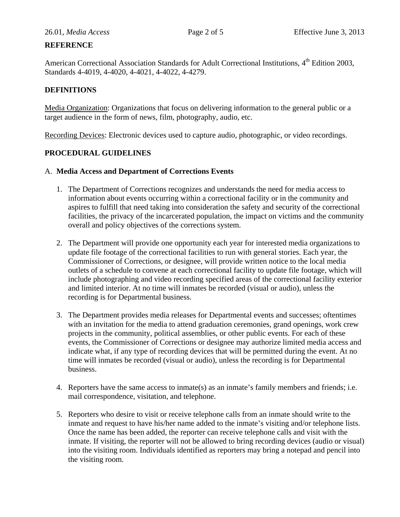# **REFERENCE**

American Correctional Association Standards for Adult Correctional Institutions, 4<sup>th</sup> Edition 2003, Standards 4-4019, 4-4020, 4-4021, 4-4022, 4-4279.

# **DEFINITIONS**

Media Organization: Organizations that focus on delivering information to the general public or a target audience in the form of news, film, photography, audio, etc.

Recording Devices: Electronic devices used to capture audio, photographic, or video recordings.

# **PROCEDURAL GUIDELINES**

#### A. **Media Access and Department of Corrections Events**

- 1. The Department of Corrections recognizes and understands the need for media access to information about events occurring within a correctional facility or in the community and aspires to fulfill that need taking into consideration the safety and security of the correctional facilities, the privacy of the incarcerated population, the impact on victims and the community overall and policy objectives of the corrections system.
- 2. The Department will provide one opportunity each year for interested media organizations to update file footage of the correctional facilities to run with general stories. Each year, the Commissioner of Corrections, or designee, will provide written notice to the local media outlets of a schedule to convene at each correctional facility to update file footage, which will include photographing and video recording specified areas of the correctional facility exterior and limited interior. At no time will inmates be recorded (visual or audio), unless the recording is for Departmental business.
- 3. The Department provides media releases for Departmental events and successes; oftentimes with an invitation for the media to attend graduation ceremonies, grand openings, work crew projects in the community, political assemblies, or other public events. For each of these events, the Commissioner of Corrections or designee may authorize limited media access and indicate what, if any type of recording devices that will be permitted during the event. At no time will inmates be recorded (visual or audio), unless the recording is for Departmental business.
- 4. Reporters have the same access to inmate(s) as an inmate's family members and friends; i.e. mail correspondence, visitation, and telephone.
- 5. Reporters who desire to visit or receive telephone calls from an inmate should write to the inmate and request to have his/her name added to the inmate's visiting and/or telephone lists. Once the name has been added, the reporter can receive telephone calls and visit with the inmate. If visiting, the reporter will not be allowed to bring recording devices (audio or visual) into the visiting room. Individuals identified as reporters may bring a notepad and pencil into the visiting room.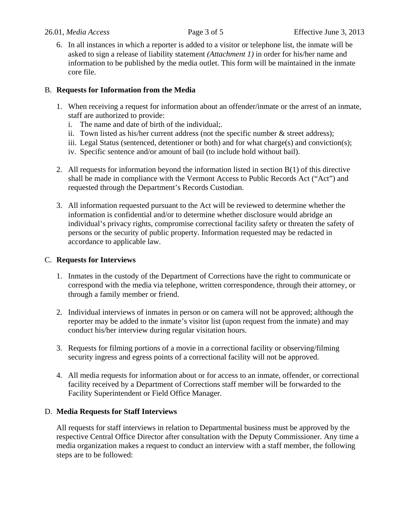6. In all instances in which a reporter is added to a visitor or telephone list, the inmate will be asked to sign a release of liability statement *(Attachment 1)* in order for his/her name and information to be published by the media outlet. This form will be maintained in the inmate core file.

### B. **Requests for Information from the Media**

- 1. When receiving a request for information about an offender/inmate or the arrest of an inmate, staff are authorized to provide:
	- i. The name and date of birth of the individual;.
	- ii. Town listed as his/her current address (not the specific number  $\&$  street address);
	- iii. Legal Status (sentenced, detentioner or both) and for what charge(s) and conviction(s);
	- iv. Specific sentence and/or amount of bail (to include hold without bail).
- 2. All requests for information beyond the information listed in section B(1) of this directive shall be made in compliance with the Vermont Access to Public Records Act ("Act") and requested through the Department's Records Custodian.
- 3. All information requested pursuant to the Act will be reviewed to determine whether the information is confidential and/or to determine whether disclosure would abridge an individual's privacy rights, compromise correctional facility safety or threaten the safety of persons or the security of public property. Information requested may be redacted in accordance to applicable law.

#### C. **Requests for Interviews**

- 1. Inmates in the custody of the Department of Corrections have the right to communicate or correspond with the media via telephone, written correspondence, through their attorney, or through a family member or friend.
- 2. Individual interviews of inmates in person or on camera will not be approved; although the reporter may be added to the inmate's visitor list (upon request from the inmate) and may conduct his/her interview during regular visitation hours.
- 3. Requests for filming portions of a movie in a correctional facility or observing/filming security ingress and egress points of a correctional facility will not be approved.
- 4. All media requests for information about or for access to an inmate, offender, or correctional facility received by a Department of Corrections staff member will be forwarded to the Facility Superintendent or Field Office Manager.

#### D. **Media Requests for Staff Interviews**

All requests for staff interviews in relation to Departmental business must be approved by the respective Central Office Director after consultation with the Deputy Commissioner. Any time a media organization makes a request to conduct an interview with a staff member, the following steps are to be followed: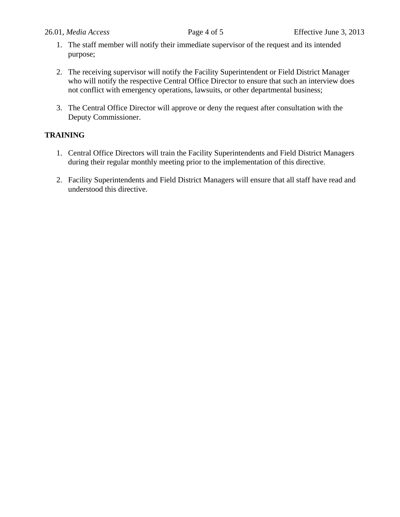- 1. The staff member will notify their immediate supervisor of the request and its intended purpose;
- 2. The receiving supervisor will notify the Facility Superintendent or Field District Manager who will notify the respective Central Office Director to ensure that such an interview does not conflict with emergency operations, lawsuits, or other departmental business;
- 3. The Central Office Director will approve or deny the request after consultation with the Deputy Commissioner.

#### **TRAINING**

- 1. Central Office Directors will train the Facility Superintendents and Field District Managers during their regular monthly meeting prior to the implementation of this directive.
- 2. Facility Superintendents and Field District Managers will ensure that all staff have read and understood this directive.